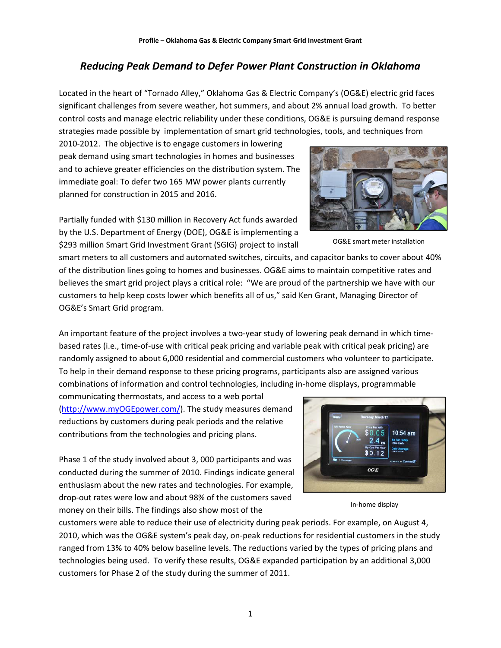## *Reducing Peak Demand to Defer Power Plant Construction in Oklahoma*

Located in the heart of "Tornado Alley," Oklahoma Gas & Electric Company's (OG&E) electric grid faces significant challenges from severe weather, hot summers, and about 2% annual load growth. To better control costs and manage electric reliability under these conditions, OG&E is pursuing demand response strategies made possible by implementation of smart grid technologies, tools, and techniques from

2010‐2012. The objective is to engage customers in lowering peak demand using smart technologies in homes and businesses and to achieve greater efficiencies on the distribution system. The immediate goal: To defer two 165 MW power plants currently planned for construction in 2015 and 2016.

Partially funded with \$130 million in Recovery Act funds awarded by the U.S. Department of Energy (DOE), OG&E is implementing a \$293 million Smart Grid Investment Grant (SGIG) project to install

smart meters to all customers and automated switches, circuits, and capacitor banks to cover about 40% of the distribution lines going to homes and businesses. OG&E aims to maintain competitive rates and believes the smart grid project plays a critical role: "We are proud of the partnership we have with our customers to help keep costs lower which benefits all of us," said Ken Grant, Managing Director of OG&E's Smart Grid program.

An important feature of the project involves a two-year study of lowering peak demand in which timebased rates (i.e., time‐of‐use with critical peak pricing and variable peak with critical peak pricing) are randomly assigned to about 6,000 residential and commercial customers who volunteer to participate. To help in their demand response to these pricing programs, participants also are assigned various combinations of information and control technologies, including in‐home displays, programmable

communicating thermostats, and access to a web portal (http://www.myOGEpower.com/). The study measures demand reductions by customers during peak periods and the relative contributions from the technologies and pricing plans.

Phase 1 of the study involved about 3, 000 participants and was conducted during the summer of 2010. Findings indicate general enthusiasm about the new rates and technologies. For example, drop‐out rates were low and about 98% of the customers saved money on their bills. The findings also show most of the

customers were able to reduce their use of electricity during peak periods. For example, on August 4, 2010, which was the OG&E system's peak day, on-peak reductions for residential customers in the study ranged from 13% to 40% below baseline levels. The reductions varied by the types of pricing plans and technologies being used. To verify these results, OG&E expanded participation by an additional 3,000 customers for Phase 2 of the study during the summer of 2011.

1



In‐home display



OG&E smart meter installation